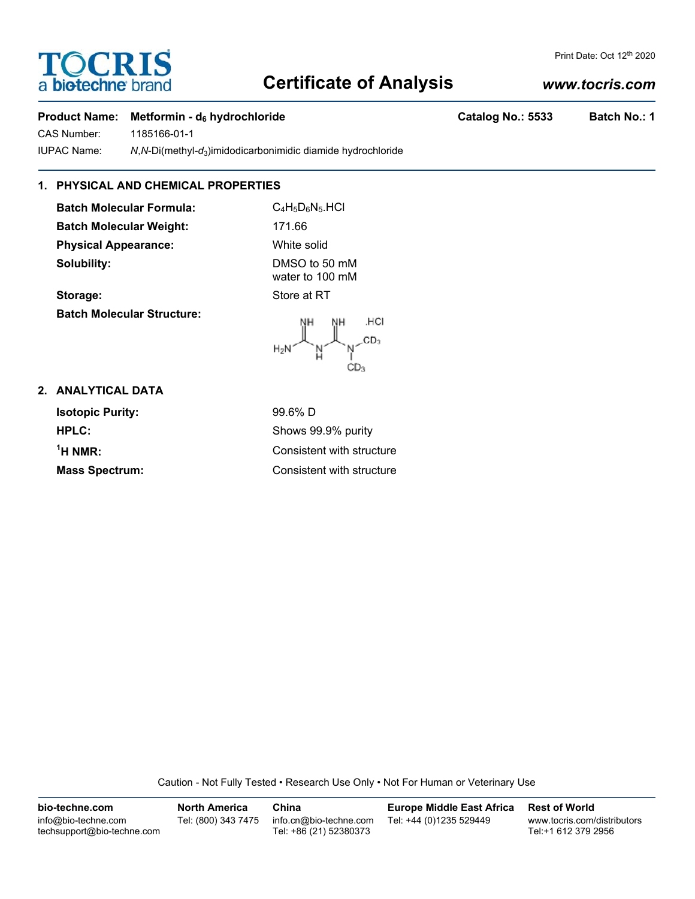# **TOCRIS** a biotechne br

## **Certificate of Analysis**

## *www.tocris.com*

Print Date: Oct 12<sup>th</sup> 2020

## **Product Name: Metformin - d<sub>6</sub> hydrochloride Catalog No.: 5533 Batch No.: 1**

CAS Number: 1185166-01-1 IUPAC Name: *N*,*N*-Di(methyl-*d*3)imidodicarbonimidic diamide hydrochloride

## **1. PHYSICAL AND CHEMICAL PROPERTIES**

**Batch Molecular Formula:** C<sub>4</sub>H<sub>5</sub>D<sub>6</sub>N<sub>5</sub>.HCl **Batch Molecular Weight:** 171.66 **Physical Appearance:** White solid **Solubility:** DMSO to 50 mM

water to 100 mM **Storage:** Store at RT

**Batch Molecular Structure:**



## **2. ANALYTICAL DATA**

**Isotopic Purity:** 99.6% D **HPLC:** Shows 99.9% purity  $<sup>1</sup>H NMR$ :</sup> **Mass Spectrum:** Consistent with structure

**Consistent with structure** 

Caution - Not Fully Tested • Research Use Only • Not For Human or Veterinary Use

**bio-techne.com** info@bio-techne.com techsupport@bio-techne.com **North America** Tel: (800) 343 7475 **China** info.cn@bio-techne.com Tel: +86 (21) 52380373 **Europe Middle East Africa** Tel: +44 (0)1235 529449 **Rest of World** www.tocris.com/distributors Tel:+1 612 379 2956